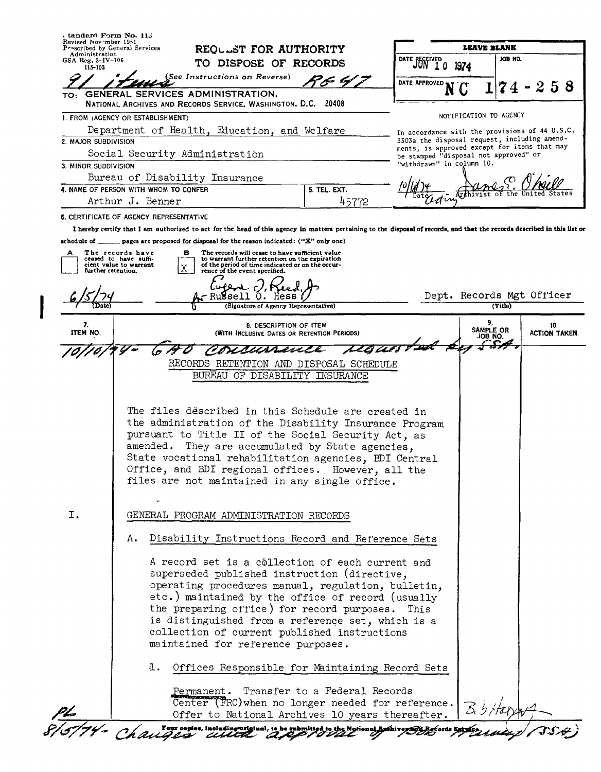| Revised Nov mber 1951<br>Proscribed by General Services<br>Administration |                                                                                                                                                                           | REQULST FOR AUTHORITY                                                                                         |                               |                         | LEAVE BLANK                                                                                  |         |                     |     |
|---------------------------------------------------------------------------|---------------------------------------------------------------------------------------------------------------------------------------------------------------------------|---------------------------------------------------------------------------------------------------------------|-------------------------------|-------------------------|----------------------------------------------------------------------------------------------|---------|---------------------|-----|
| GSA Reg. 3-IV-106<br>$115 - 103$                                          |                                                                                                                                                                           | TO DISPOSE OF RECORDS<br>(See Instructions on Reverse)                                                        |                               | DATE RECEIVED<br>JUN 10 | 1974                                                                                         | JOB NO. |                     |     |
|                                                                           |                                                                                                                                                                           |                                                                                                               |                               | DATE APPROVED           |                                                                                              | 74      | -258                |     |
| TO:                                                                       | GENERAL SERVICES ADMINISTRATION.<br>NATIONAL ARCHIVES AND RECORDS SERVICE, WASHINGTON, D.C. 20408                                                                         |                                                                                                               |                               |                         |                                                                                              |         |                     |     |
|                                                                           | 1. FROM (AGENCY OR ESTABLISHMENT)                                                                                                                                         |                                                                                                               |                               |                         | NOTIFICATION TO AGENCY                                                                       |         |                     |     |
|                                                                           | Department of Health, Education, and Welfare                                                                                                                              |                                                                                                               |                               |                         | In accordance with the provisions of 44 U.S.C.                                               |         |                     |     |
| 2. MAJOR SUBDIVISION                                                      |                                                                                                                                                                           |                                                                                                               |                               |                         | 3303a the disposal request, including amend-<br>ments, is approved except for items that may |         |                     |     |
|                                                                           | Social Security Administration                                                                                                                                            |                                                                                                               |                               |                         | be stamped "disposal not approved" or                                                        |         |                     |     |
| 3. MINOR SUBDIVISION                                                      |                                                                                                                                                                           |                                                                                                               |                               |                         | "withdrawn" in column 10.                                                                    |         |                     |     |
|                                                                           | Bureau of Disability Insurance<br>4. NAME OF PERSON WITH WHOM TO CONFER                                                                                                   |                                                                                                               | 5. TEL. EXT.                  |                         |                                                                                              |         |                     |     |
|                                                                           | Arthur J. Benner                                                                                                                                                          |                                                                                                               | 45772                         |                         | σm                                                                                           |         |                     |     |
|                                                                           | <b>6. CERTIFICATE OF AGENCY REPRESENTATIVE</b>                                                                                                                            |                                                                                                               |                               |                         |                                                                                              |         |                     |     |
|                                                                           | I hereby certify that I am authorized to act for the head of this agency in matters pertaining to the disposal of records, and that the records described in this list or |                                                                                                               |                               |                         |                                                                                              |         |                     |     |
|                                                                           | schedule of _______ pages are proposed for disposal for the reason indicated: ("X" only one)                                                                              |                                                                                                               |                               |                         |                                                                                              |         |                     |     |
| А                                                                         | The records have<br>в<br>ceased to have suffi-                                                                                                                            | The records will cease to have sufficient value<br>to warrant further retention on the expiration             |                               |                         |                                                                                              |         |                     |     |
| further retention.                                                        | cient value to warrant<br>Χ                                                                                                                                               | of the period of time indicated or on the occur-<br>rence of the event specified.                             |                               |                         |                                                                                              |         |                     |     |
|                                                                           |                                                                                                                                                                           |                                                                                                               |                               |                         |                                                                                              |         |                     |     |
|                                                                           |                                                                                                                                                                           | Russell<br>Hess                                                                                               |                               |                         | Dept. Records Mgt Officer                                                                    |         |                     |     |
|                                                                           |                                                                                                                                                                           | (Signature of Agency Representative)                                                                          |                               |                         |                                                                                              | (Title) |                     |     |
| 7.<br>ITEM NO.                                                            |                                                                                                                                                                           | 8. DESCRIPTION OF ITEM                                                                                        |                               |                         | 9.<br><b>SAMPLE OR</b>                                                                       |         | <b>ACTION TAKEN</b> | 10. |
|                                                                           |                                                                                                                                                                           | (WITH INCLUSIVE DATES OR RETENTION PERIODS)                                                                   |                               |                         | JOB NO.                                                                                      |         |                     |     |
|                                                                           |                                                                                                                                                                           | X <i>BHAP<del>al</del>i</i>                                                                                   |                               |                         |                                                                                              |         |                     |     |
|                                                                           |                                                                                                                                                                           | RECORDS RETENTION AND DISPOSAL SCHEDULE                                                                       |                               |                         |                                                                                              |         |                     |     |
|                                                                           |                                                                                                                                                                           | BUREAU OF DISABILITY INSURANCE                                                                                |                               |                         |                                                                                              |         |                     |     |
|                                                                           |                                                                                                                                                                           |                                                                                                               |                               |                         |                                                                                              |         |                     |     |
|                                                                           |                                                                                                                                                                           |                                                                                                               |                               |                         |                                                                                              |         |                     |     |
|                                                                           |                                                                                                                                                                           | The files described in this Schedule are created in                                                           |                               |                         |                                                                                              |         |                     |     |
|                                                                           |                                                                                                                                                                           | the administration of the Disability Insurance Program<br>pursuant to Title II of the Social Security Act, as |                               |                         |                                                                                              |         |                     |     |
|                                                                           |                                                                                                                                                                           | amended. They are accumulated by State agencies,                                                              |                               |                         |                                                                                              |         |                     |     |
|                                                                           |                                                                                                                                                                           |                                                                                                               |                               |                         |                                                                                              |         |                     |     |
|                                                                           |                                                                                                                                                                           |                                                                                                               |                               |                         |                                                                                              |         |                     |     |
|                                                                           | State vocational rehabilitation agencies, BDI Central                                                                                                                     |                                                                                                               |                               |                         |                                                                                              |         |                     |     |
|                                                                           |                                                                                                                                                                           | Office, and BDI regional offices. However, all the<br>files are not maintained in any single office.          |                               |                         |                                                                                              |         |                     |     |
|                                                                           |                                                                                                                                                                           |                                                                                                               |                               |                         |                                                                                              |         |                     |     |
| I.                                                                        |                                                                                                                                                                           | GENERAL PROGRAM ADMINISTRATION RECORDS                                                                        |                               |                         |                                                                                              |         |                     |     |
|                                                                           | А.                                                                                                                                                                        | Disability Instructions Record and Reference Sets                                                             |                               |                         |                                                                                              |         |                     |     |
|                                                                           |                                                                                                                                                                           |                                                                                                               |                               |                         |                                                                                              |         |                     |     |
|                                                                           |                                                                                                                                                                           | A record set is a collection of each current and                                                              |                               |                         |                                                                                              |         |                     |     |
|                                                                           |                                                                                                                                                                           | superseded published instruction (directive,                                                                  |                               |                         |                                                                                              |         |                     |     |
|                                                                           |                                                                                                                                                                           | operating procedures manual, regulation, bulletin,                                                            |                               |                         |                                                                                              |         |                     |     |
|                                                                           |                                                                                                                                                                           | etc.) maintained by the office of record (usually                                                             |                               |                         |                                                                                              |         |                     |     |
|                                                                           |                                                                                                                                                                           | the preparing office) for record purposes. This                                                               |                               |                         |                                                                                              |         |                     |     |
|                                                                           |                                                                                                                                                                           | is distinguished from a reference set, which is a<br>collection of current published instructions             |                               |                         |                                                                                              |         |                     |     |
|                                                                           |                                                                                                                                                                           | maintained for reference purposes.                                                                            |                               |                         |                                                                                              |         |                     |     |
|                                                                           | 且.                                                                                                                                                                        | Offices Responsible for Maintaining Record Sets                                                               |                               |                         |                                                                                              |         |                     |     |
|                                                                           |                                                                                                                                                                           |                                                                                                               |                               |                         |                                                                                              |         |                     |     |
|                                                                           | Permanent.                                                                                                                                                                |                                                                                                               | Transfer to a Federal Records |                         |                                                                                              |         |                     |     |
|                                                                           |                                                                                                                                                                           | Center (FRC) when no longer needed for reference.<br>Offer to National Archives 10 years thereafter.          |                               |                         |                                                                                              |         |                     |     |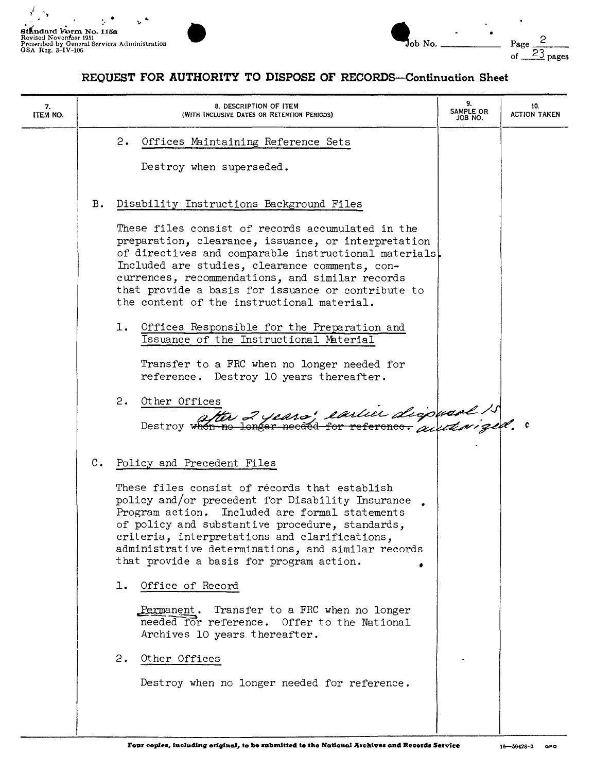

| $\overline{\text{Job No.}}$ |  | ⊂<br>Page $\frac{6}{23}$ |
|-----------------------------|--|--------------------------|
|                             |  | of                       |

| 7.<br>ITEM NO. |                | 8. DESCRIPTION OF ITEM<br>(WITH INCLUSIVE DATES OR RETENTION PERIODS)                                                                                                                                                                                                                                                                                                                                                                                                                                                                                                                                                                      | 9.<br>SAMPLE OR<br>JOB NO. | 10.<br><b>ACTION TAKEN</b> |
|----------------|----------------|--------------------------------------------------------------------------------------------------------------------------------------------------------------------------------------------------------------------------------------------------------------------------------------------------------------------------------------------------------------------------------------------------------------------------------------------------------------------------------------------------------------------------------------------------------------------------------------------------------------------------------------------|----------------------------|----------------------------|
|                |                | 2.<br>Offices Maintaining Reference Sets<br>Destroy when superseded.                                                                                                                                                                                                                                                                                                                                                                                                                                                                                                                                                                       |                            |                            |
|                | Β.             | Disability Instructions Background Files<br>These files consist of records accumulated in the<br>preparation, clearance, issuance, or interpretation<br>of directives and comparable instructional materials.<br>Included are studies, clearance comments, con-<br>currences, recommendations, and similar records<br>that provide a basis for issuance or contribute to<br>the content of the instructional material.<br>1. Offices Responsible for the Preparation and<br>Issuance of the Instructional Material<br>Transfer to a FRC when no longer needed for<br>reference. Destroy 10 years thereafter.<br>2. Other Offices           |                            |                            |
|                | $\mathbf{C}$ . | Destroy when no longer needed for reference. and the get.<br>Policy and Precedent Files<br>These files consist of récords that establish<br>policy and/or precedent for Disability Insurance.<br>Program action. Included are formal statements<br>of policy and substantive procedure, standards,<br>criteria, interpretations and clarifications,<br>administrative determinations, and similar records<br>that provide a basis for program action.<br>O <u>ffice</u> of Record<br>ı.<br>Permanent. Transfer to a FRC when no longer<br>needed for reference. Offer to the National<br>Archives 10 years thereafter.<br>2. Other Offices |                            |                            |
|                |                | Destroy when no longer needed for reference.                                                                                                                                                                                                                                                                                                                                                                                                                                                                                                                                                                                               |                            |                            |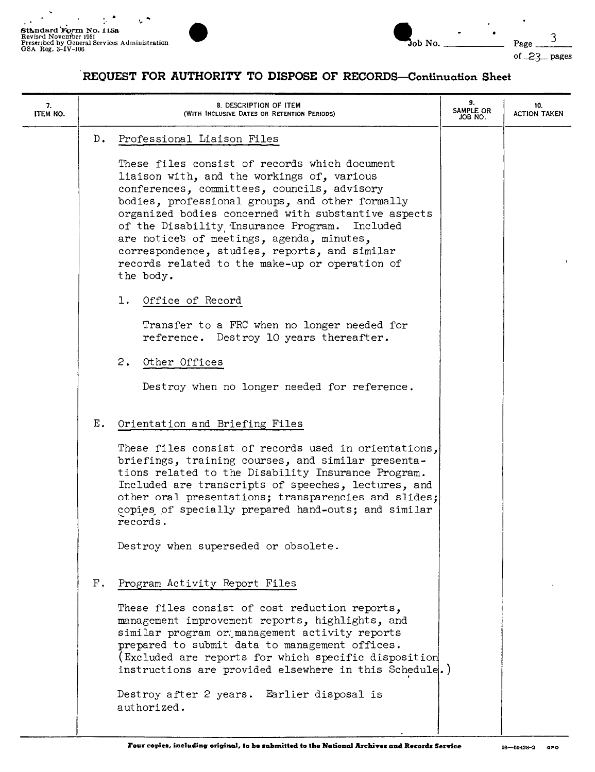

| $D$ .<br>Professional Liaison Files<br>These files consist of records which document<br>liaison with, and the workings of, various                                                                                                                                                                                                                                      |  |
|-------------------------------------------------------------------------------------------------------------------------------------------------------------------------------------------------------------------------------------------------------------------------------------------------------------------------------------------------------------------------|--|
|                                                                                                                                                                                                                                                                                                                                                                         |  |
| conferences, committees, councils, advisory<br>bodies, professional groups, and other formally<br>organized bodies concerned with substantive aspects<br>of the Disability Insurance Program.<br>Included<br>are notice's of meetings, agenda, minutes,<br>correspondence, studies, reports, and similar<br>records related to the make-up or operation of<br>the body. |  |
| Office of Record<br>ı.                                                                                                                                                                                                                                                                                                                                                  |  |
| Transfer to a FRC when no longer needed for<br>reference. Destroy 10 years thereafter.                                                                                                                                                                                                                                                                                  |  |
| 2.<br>Other Offices                                                                                                                                                                                                                                                                                                                                                     |  |
| Destroy when no longer needed for reference.                                                                                                                                                                                                                                                                                                                            |  |
| Ε.<br>Orientation and Briefing Files                                                                                                                                                                                                                                                                                                                                    |  |
| These files consist of records used in orientations,<br>briefings, training courses, and similar presenta-<br>tions related to the Disability Insurance Program.<br>Included are transcripts of speeches, lectures, and<br>other oral presentations; transparencies and slides;<br>copies of specially prepared hand-outs; and similar<br>records.                      |  |
| Destroy when superseded or obsolete.                                                                                                                                                                                                                                                                                                                                    |  |
| ${\bf F}$ .<br>Program Activity Report Files                                                                                                                                                                                                                                                                                                                            |  |
| These files consist of cost reduction reports,<br>management improvement reports, highlights, and<br>similar program or management activity reports<br>prepared to submit data to management offices.<br>(Excluded are reports for which specific disposition<br>instructions are provided elsewhere in this Schedule.)                                                 |  |
| Destroy after 2 years. Earlier disposal is<br>authorized.                                                                                                                                                                                                                                                                                                               |  |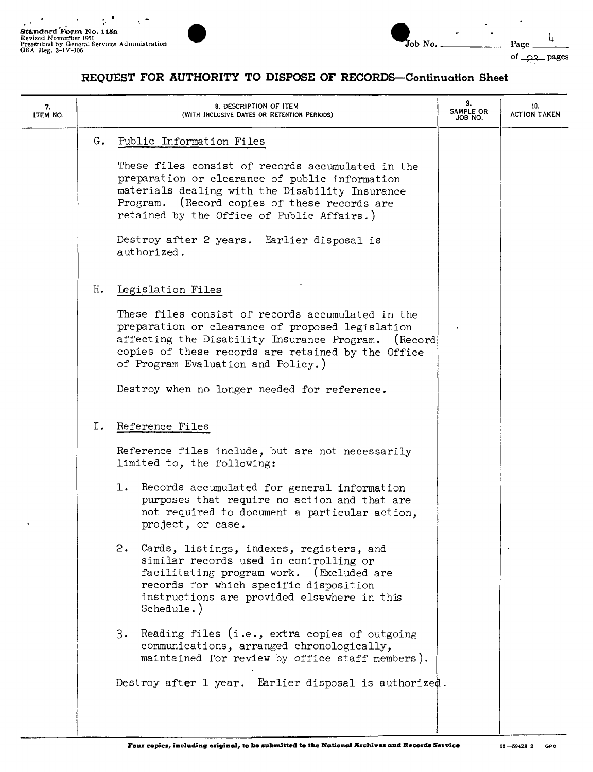$\overline{\phantom{a}}$ 



 $\ddot{\phantom{1}}$ 

| 7.<br>ITEM NO. |    | 8. DESCRIPTION OF ITEM<br>(WITH INCLUSIVE DATES OR RETENTION PERIODS)                                                                                                                                                                                        | 9.<br>SAMPLE OR<br>JOB NO. | 10.<br><b>ACTION TAKEN</b> |
|----------------|----|--------------------------------------------------------------------------------------------------------------------------------------------------------------------------------------------------------------------------------------------------------------|----------------------------|----------------------------|
|                |    | G. Public Information Files                                                                                                                                                                                                                                  |                            |                            |
|                |    | These files consist of records accumulated in the<br>preparation or clearance of public information<br>materials dealing with the Disability Insurance<br>Program. (Record copies of these records are<br>retained by the Office of Public Affairs.)         |                            |                            |
|                |    | Destroy after 2 years. Earlier disposal is<br>authorized.                                                                                                                                                                                                    |                            |                            |
|                | н. | Legislation Files                                                                                                                                                                                                                                            |                            |                            |
|                |    | These files consist of records accumulated in the<br>preparation or clearance of proposed legislation<br>affecting the Disability Insurance Program.<br>(Record)<br>copies of these records are retained by the Office<br>of Program Evaluation and Policy.) |                            |                            |
|                |    | Destroy when no longer needed for reference.                                                                                                                                                                                                                 |                            |                            |
|                | I. | Reference Files                                                                                                                                                                                                                                              |                            |                            |
|                |    | Reference files include, but are not necessarily<br>limited to, the following:                                                                                                                                                                               |                            |                            |
|                |    | 1. Records accumulated for general information<br>purposes that require no action and that are<br>not required to document a particular action,<br>project, or case.                                                                                         |                            |                            |
|                |    | 2.<br>Cards, listings, indexes, registers, and<br>similar records used in controlling or<br>facilitating program work. (Excluded are<br>records for which specific disposition<br>instructions are provided elsewhere in this<br>Schedule.)                  |                            |                            |
|                |    | Reading files (i.e., extra copies of outgoing<br>3.<br>communications, arranged chronologically,<br>maintained for review by office staff members).                                                                                                          |                            |                            |
|                |    | Destroy after 1 year. Earlier disposal is authorized.                                                                                                                                                                                                        |                            |                            |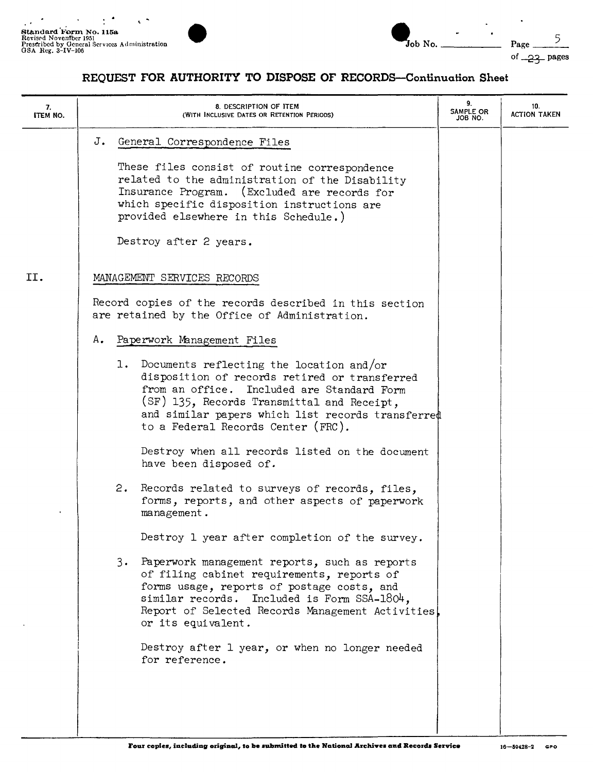$\cdot$ 



Ĭ.

| 7.<br><b>ITEM NO.</b> | 8. DESCRIPTION OF ITEM<br>(WITH INCLUSIVE DATES OR RETENTION PERIODS)                                                                                                                                                                                                                                                                                                                                                                                                                                         | 9.<br>SAMPLE OR<br>JOB NO. | 10.<br><b>ACTION TAKEN</b> |
|-----------------------|---------------------------------------------------------------------------------------------------------------------------------------------------------------------------------------------------------------------------------------------------------------------------------------------------------------------------------------------------------------------------------------------------------------------------------------------------------------------------------------------------------------|----------------------------|----------------------------|
|                       | J.<br>General Correspondence Files<br>These files consist of routine correspondence<br>related to the administration of the Disability<br>Insurance Program. (Excluded are records for<br>which specific disposition instructions are<br>provided elsewhere in this Schedule.)<br>Destroy after 2 years.                                                                                                                                                                                                      |                            |                            |
| II.                   | MANAGEMENT SERVICES RECORDS<br>Record copies of the records described in this section<br>are retained by the Office of Administration.                                                                                                                                                                                                                                                                                                                                                                        |                            |                            |
|                       | Α.<br>Paperwork Management Files<br>1. Documents reflecting the location and/or<br>disposition of records retired or transferred<br>from an office. Included are Standard Form<br>(SF) 135, Records Transmittal and Receipt,<br>and similar papers which list records transferred<br>to a Federal Records Center (FRC).<br>Destroy when all records listed on the document<br>have been disposed of.<br>2.<br>Records related to surveys of records, files,<br>forms, reports, and other aspects of paperwork |                            |                            |
|                       | management.<br>Destroy 1 year after completion of the survey.<br>3. Paperwork management reports, such as reports<br>of filing cabinet requirements, reports of<br>forms usage, reports of postage costs, and<br>similar records.<br>Included is Form SSA-1804,<br>Report of Selected Records Management Activities<br>or its equivalent.<br>Destroy after 1 year, or when no longer needed<br>for reference.                                                                                                 |                            |                            |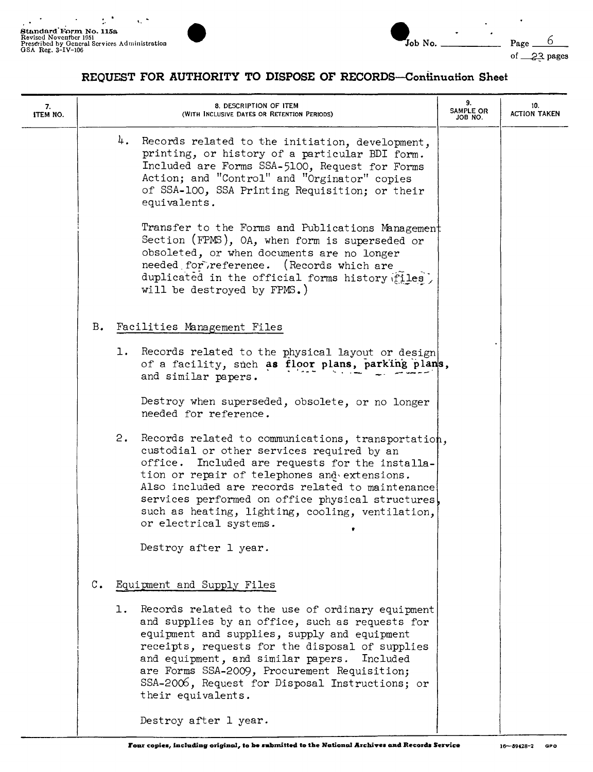

| 7.<br>ITEM NO. |                |    | 8. DESCRIPTION OF ITEM<br>(WITH INCLUSIVE DATES OR RETENTION PERIODS)                                                                                                                                                                                                                                                                                                                         | 9.<br>SAMPLE OR<br>JOB NO. | 10.<br><b>ACTION TAKEN</b> |
|----------------|----------------|----|-----------------------------------------------------------------------------------------------------------------------------------------------------------------------------------------------------------------------------------------------------------------------------------------------------------------------------------------------------------------------------------------------|----------------------------|----------------------------|
|                |                |    | 4. Records related to the initiation, development,<br>printing, or history of a particular BDI form.<br>Included are Forms SSA-5100, Request for Forms<br>Action; and "Control" and "Orginator" copies<br>of SSA-100, SSA Printing Requisition; or their<br>equivalents.                                                                                                                      |                            |                            |
|                |                |    | Transfer to the Forms and Publications Management<br>Section (FPMS), OA, when form is superseded or<br>obsoleted, or when documents are no longer<br>needed for reference.<br>(Records which are<br>duplicated in the official forms history files)<br>will be destroyed by FPMS.)                                                                                                            |                            |                            |
|                |                |    | B. Facilities Management Files                                                                                                                                                                                                                                                                                                                                                                |                            |                            |
|                |                |    | 1. Records related to the physical layout or design<br>of a facility, such as floor plans, parking plans,<br>and similar papers.                                                                                                                                                                                                                                                              |                            |                            |
|                |                |    | Destroy when superseded, obsolete, or no longer<br>needed for reference.                                                                                                                                                                                                                                                                                                                      |                            |                            |
|                |                | 2. | Records related to communications, transportation,<br>custodial or other services required by an<br>Included are requests for the installa-<br>office.<br>tion or repair of telephones and extensions.<br>Also included are records related to maintenance<br>services performed on office physical structures,<br>such as heating, lighting, cooling, ventilation,<br>or electrical systems. |                            |                            |
|                |                |    | Destroy after 1 year.                                                                                                                                                                                                                                                                                                                                                                         |                            |                            |
|                | $\mathbb{C}$ . |    | Equipment and Supply Files                                                                                                                                                                                                                                                                                                                                                                    |                            |                            |
|                |                | ı. | Records related to the use of ordinary equipment<br>and supplies by an office, such as requests for<br>equipment and supplies, supply and equipment<br>receipts, requests for the disposal of supplies<br>and equipment, and similar papers. Included<br>are Forms SSA-2009, Procurement Requisition;<br>SSA-2006, Request for Disposal Instructions; or<br>their equivalents.                |                            |                            |
|                |                |    | Destroy after 1 year.                                                                                                                                                                                                                                                                                                                                                                         |                            |                            |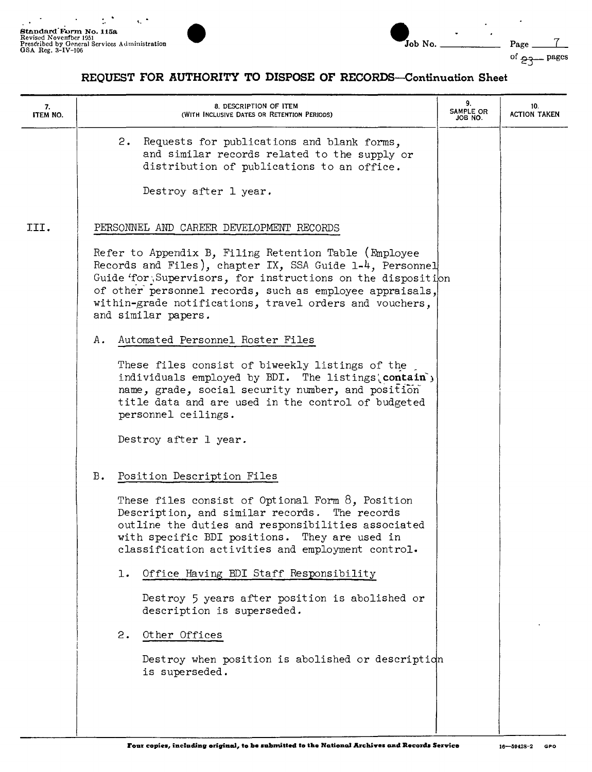

| Job No. |  |
|---------|--|
|         |  |

| 7.<br><b>ITEM NO.</b> | 8. DESCRIPTION OF ITEM<br>(WITH INCLUSIVE DATES OR RETENTION PERIODS)                                                                                                                                                                                                                                                           | 9.<br>SAMPLE OR<br>JOB NO. | 10.<br><b>ACTION TAKEN</b> |
|-----------------------|---------------------------------------------------------------------------------------------------------------------------------------------------------------------------------------------------------------------------------------------------------------------------------------------------------------------------------|----------------------------|----------------------------|
|                       | 2.<br>Requests for publications and blank forms,<br>and similar records related to the supply or<br>distribution of publications to an office.<br>Destroy after 1 year.                                                                                                                                                         |                            |                            |
| III.                  | PERSONNEL AND CAREER DEVELOPMENT RECORDS                                                                                                                                                                                                                                                                                        |                            |                            |
|                       | Refer to Appendix B, Filing Retention Table (Employee<br>Records and Files), chapter IX, SSA Guide 1-4, Personnel<br>Guide 'for, Supervisors, for instructions on the disposition<br>of other personnel records, such as employee appraisals,<br>within-grade notifications, travel orders and vouchers,<br>and similar papers. |                            |                            |
|                       | Automated Personnel Roster Files<br>Α.                                                                                                                                                                                                                                                                                          |                            |                            |
|                       | These files consist of biweekly listings of the<br>individuals employed by BDI. The listings' contain')<br>name, grade, social security number, and position<br>title data and are used in the control of budgeted<br>personnel ceilings.                                                                                       |                            |                            |
|                       | Destroy after 1 year.                                                                                                                                                                                                                                                                                                           |                            |                            |
|                       | Position Description Files<br>в.                                                                                                                                                                                                                                                                                                |                            |                            |
|                       | These files consist of Optional Form $8$ , Position<br>Description, and similar records. The records<br>outline the duties and responsibilities associated<br>with specific BDI positions. They are used in<br>classification activities and employment control.                                                                |                            |                            |
|                       | Office Having BDI Staff Responsibility<br>ı.                                                                                                                                                                                                                                                                                    |                            |                            |
|                       | Destroy 5 years after position is abolished or<br>description is superseded.                                                                                                                                                                                                                                                    |                            |                            |
|                       | 2.<br>Other Offices                                                                                                                                                                                                                                                                                                             |                            |                            |
|                       | Destroy when position is abolished or description<br>is superseded.                                                                                                                                                                                                                                                             |                            |                            |
|                       |                                                                                                                                                                                                                                                                                                                                 |                            |                            |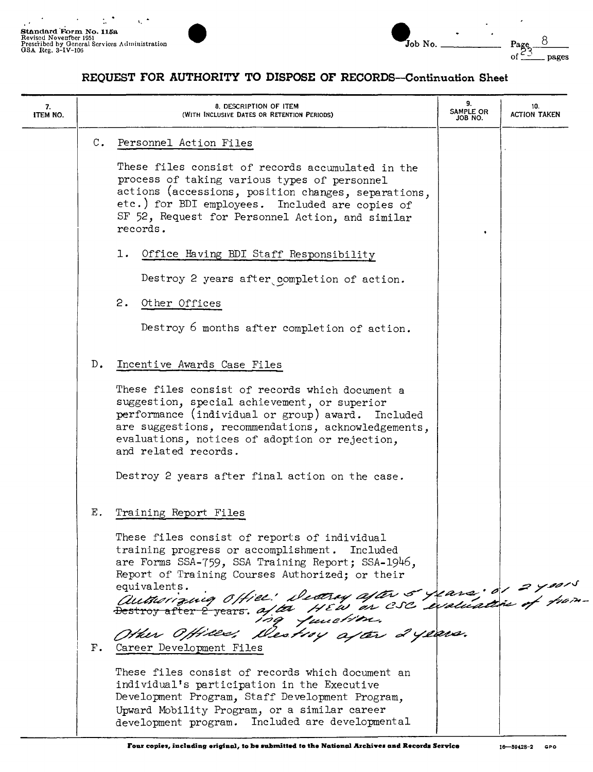

| $\mathcal{I}_{\text{Job No.}}$ |  | Page<br>^* |
|--------------------------------|--|------------|

 $\overline{a}$ 

8

pages

| 7.<br>ITEM NO. |                | 8. DESCRIPTION OF ITEM<br>(WITH INCLUSIVE DATES OR RETENTION PERIODS)                                                                                                                                                                                                                                                                                                   | 9.<br>SAMPLE OR<br>JOB NO. | 10.<br><b>ACTION TAKEN</b> |
|----------------|----------------|-------------------------------------------------------------------------------------------------------------------------------------------------------------------------------------------------------------------------------------------------------------------------------------------------------------------------------------------------------------------------|----------------------------|----------------------------|
|                | $\mathbb{C}$ . | Personnel Action Files<br>These files consist of records accumulated in the<br>process of taking various types of personnel<br>actions (accessions, position changes, separations,<br>etc.) for BDI employees. Included are copies of<br>SF 52, Request for Personnel Action, and similar<br>records.<br>Office Having BDI Staff Responsibility<br>ı.                   |                            |                            |
|                |                | Destroy 2 years after completion of action.<br>2.<br>Other Offices<br>Destroy 6 months after completion of action.                                                                                                                                                                                                                                                      |                            |                            |
|                | $D_{\bullet}$  | Incentive Awards Case Files<br>These files consist of records which document a<br>suggestion, special achievement, or superior<br>performance (individual or group) award. Included<br>are suggestions, recommendations, acknowledgements,<br>evaluations, notices of adoption or rejection,<br>and related records.<br>Destroy 2 years after final action on the case. |                            |                            |
|                | Ε.             | Training Report Files<br>These files consist of reports of individual<br>training progress or accomplishment. Included<br>are Forms SSA-759, SSA Training Report; SSA-1946,<br>Report of Training Courses Authorized; or their<br>authorizing office: Decity after 5 years: 01 2 years<br>Other Offices: Destroy after 2 years.                                         |                            |                            |
|                |                | F. Career Development Files<br>These files consist of records which document an<br>individual's participation in the Executive<br>Development Program, Staff Development Program,<br>Upward Mobility Program, or a similar career<br>development program. Included are developmental                                                                                    |                            |                            |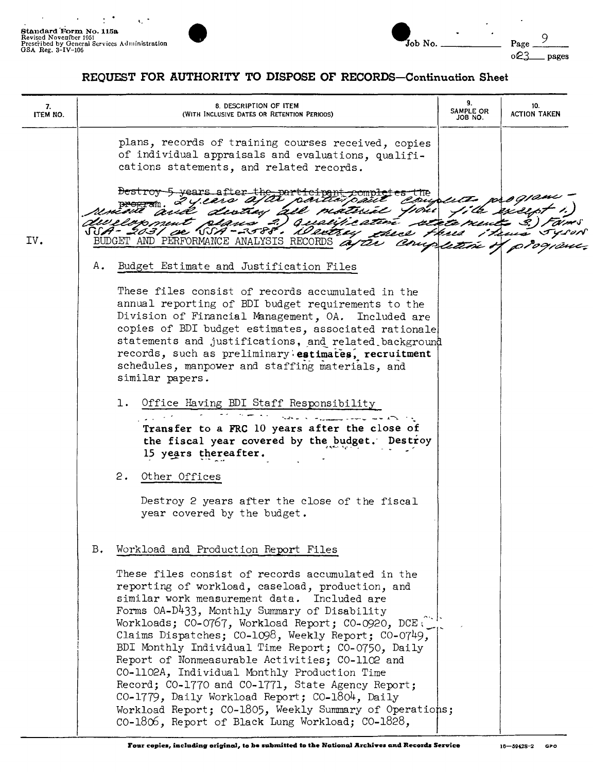$\cdot$ 

 $\ddot{\phantom{0}}$ 



| 7.<br>ITEM NO. | 8. DESCRIPTION OF ITEM<br>(WITH INCLUSIVE DATES OR RETENTION PERIODS)                                                                                                                                                                                                                                                                                                                                                                                                                                                                                                                                                                                                                            | 9.<br>SAMPLE OR<br>JOB NO. | 10.<br><b>ACTION TAKEN</b> |
|----------------|--------------------------------------------------------------------------------------------------------------------------------------------------------------------------------------------------------------------------------------------------------------------------------------------------------------------------------------------------------------------------------------------------------------------------------------------------------------------------------------------------------------------------------------------------------------------------------------------------------------------------------------------------------------------------------------------------|----------------------------|----------------------------|
|                | plans, records of training courses received, copies<br>of individual appraisals and evaluations, qualifi-<br>cations statements, and related records.                                                                                                                                                                                                                                                                                                                                                                                                                                                                                                                                            |                            |                            |
|                | bestroy 5 years after the part<br>z years a<br>and distrix all material your                                                                                                                                                                                                                                                                                                                                                                                                                                                                                                                                                                                                                     | file excep                 |                            |
| IV.            | "eloxoment plans 2) qualificative reta ments 3).<br>SSA- 2031 de SSA-2588°, il extrey xhece Høsed<br>BUDGET AND PERFORMANCE ANALYSIS RECORDS at the Completion                                                                                                                                                                                                                                                                                                                                                                                                                                                                                                                                   |                            |                            |
|                | Α.<br>Budget Estimate and Justification Files                                                                                                                                                                                                                                                                                                                                                                                                                                                                                                                                                                                                                                                    |                            |                            |
|                | These files consist of records accumulated in the<br>annual reporting of BDI budget requirements to the<br>Division of Financial Management, OA. Included are<br>copies of BDI budget estimates, associated rationale<br>statements and justifications, and related background<br>records, such as preliminary estimates, recruitment<br>schedules, manpower and staffing materials, and<br>similar papers.                                                                                                                                                                                                                                                                                      |                            |                            |
|                | 1. Office Having BDI Staff Responsibility<br>Transfer to a FRC 10 years after the close of<br>the fiscal year covered by the budget.<br>Destroy<br>15 years thereafter.                                                                                                                                                                                                                                                                                                                                                                                                                                                                                                                          |                            |                            |
|                | 2. Other Offices                                                                                                                                                                                                                                                                                                                                                                                                                                                                                                                                                                                                                                                                                 |                            |                            |
|                | Destroy 2 years after the close of the fiscal<br>year covered by the budget.                                                                                                                                                                                                                                                                                                                                                                                                                                                                                                                                                                                                                     |                            |                            |
|                | Workload and Production Report Files<br>в.                                                                                                                                                                                                                                                                                                                                                                                                                                                                                                                                                                                                                                                       |                            |                            |
|                | These files consist of records accumulated in the<br>reporting of workload, caseload, production, and<br>similar work measurement data. Included are<br>Forms OA-D433, Monthly Summary of Disability<br>Workloads; CO-0767, Workload Report; CO-0920, DCE.<br>Claims Dispatches; CO-1098, Weekly Report; CO-0749,<br>BDI Monthly Individual Time Report; CO-0750, Daily<br>Report of Nonmeasurable Activities; CO-1102 and<br>CO-1102A, Individual Monthly Production Time<br>Record; CO-1770 and CO-1771, State Agency Report;<br>CO-1779, Daily Workload Report; CO-1804, Daily<br>Workload Report; CO-1805, Weekly Summary of Operations;<br>CO-1806, Report of Black Lung Workload; CO-1828, |                            |                            |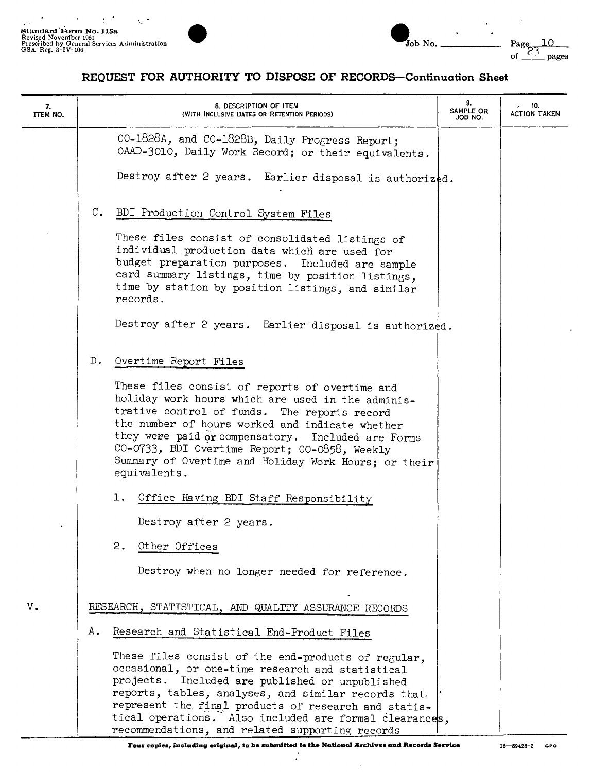

|  | Job No. |
|--|---------|
|  |         |

 $\ddot{\phantom{0}}$ 

 $\lambda$ 

# **REQUEST FOR AUTHORITY TO DISPOSE OF RECORDS-Continuation Sheet**

| 7.<br>ITEM NO. | 8. DESCRIPTION OF ITEM<br>(WITH INCLUSIVE DATES OR RETENTION PERIODS)                                                                                                                                                                                                                                                                                                                   | 9.<br>SAMPLE OR<br>JOB NO. | 10.<br>ACTION TAKEN |
|----------------|-----------------------------------------------------------------------------------------------------------------------------------------------------------------------------------------------------------------------------------------------------------------------------------------------------------------------------------------------------------------------------------------|----------------------------|---------------------|
|                | CO-1828A, and CO-1828B, Daily Progress Report;<br>OAAD-3010, Daily Work Record; or their equivalents.                                                                                                                                                                                                                                                                                   |                            |                     |
|                | Destroy after 2 years. Earlier disposal is authorized.                                                                                                                                                                                                                                                                                                                                  |                            |                     |
|                | C. BDI Production Control System Files                                                                                                                                                                                                                                                                                                                                                  |                            |                     |
|                | These files consist of consolidated listings of<br>individual production data which are used for<br>budget preparation purposes. Included are sample<br>card summary listings, time by position listings,<br>time by station by position listings, and similar<br>records.                                                                                                              |                            |                     |
|                | Destroy after 2 years. Earlier disposal is authorized.                                                                                                                                                                                                                                                                                                                                  |                            |                     |
|                | $D$ .<br>Overtime Report Files                                                                                                                                                                                                                                                                                                                                                          |                            |                     |
|                | These files consist of reports of overtime and<br>holiday work hours which are used in the adminis-<br>trative control of funds. The reports record<br>the number of hours worked and indicate whether<br>they were paid or compensatory. Included are Forms<br>CO-0733, BDI Overtime Report; CO-0858, Weekly<br>Summary of Overtime and Holiday Work Hours; or their<br>equivalents.   |                            |                     |
|                | 1. Office Having BDI Staff Responsibility                                                                                                                                                                                                                                                                                                                                               |                            |                     |
|                | Destroy after 2 years.                                                                                                                                                                                                                                                                                                                                                                  |                            |                     |
|                | 2.<br>Other Offices                                                                                                                                                                                                                                                                                                                                                                     |                            |                     |
|                | Destroy when no longer needed for reference.                                                                                                                                                                                                                                                                                                                                            |                            |                     |
| v.             | RESEARCH, STATISTICAL, AND QUALITY ASSURANCE RECORDS                                                                                                                                                                                                                                                                                                                                    |                            |                     |
|                | Α.<br>Research and Statistical End-Product Files                                                                                                                                                                                                                                                                                                                                        |                            |                     |
|                | These files consist of the end-products of regular,<br>occasional, or one-time research and statistical<br>projects. Included are published or unpublished<br>reports, tables, analyses, and similar records that.<br>represent the final products of research and statis-<br>tical operations. Also included are formal clearances,<br>recommendations, and related supporting records |                            |                     |

 $\downarrow$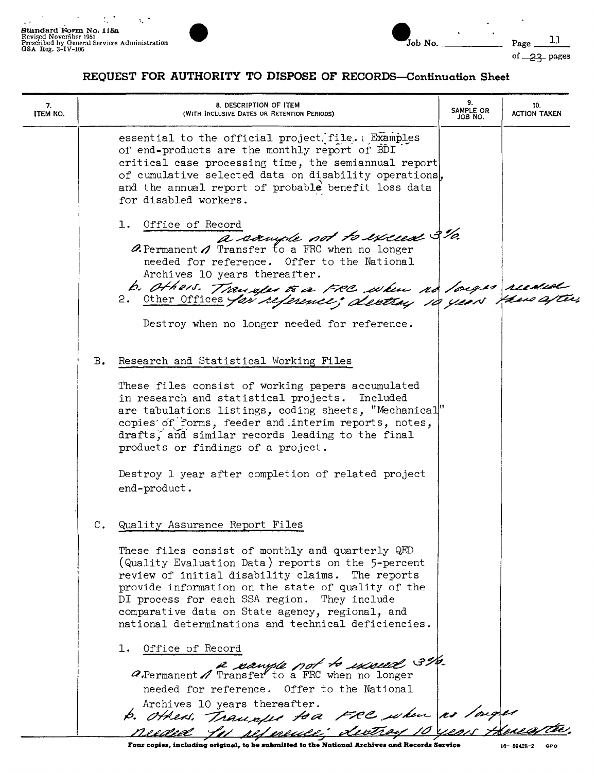

| $\mathbf{J}$ ob No. |  |
|---------------------|--|
|                     |  |

 $-$  Page  $11$ 

of  $23$  pages

 $\ddot{\phantom{a}}$ 

| 7.<br>ITEM NO. |    | 8. DESCRIPTION OF ITEM<br>(WITH INCLUSIVE DATES OR RETENTION PERIODS)                                                                                                                                                                                                                                                                                                               | 9.<br>SAMPLE OR<br>JOB NO. | 10.<br><b>ACTION TAKEN</b> |
|----------------|----|-------------------------------------------------------------------------------------------------------------------------------------------------------------------------------------------------------------------------------------------------------------------------------------------------------------------------------------------------------------------------------------|----------------------------|----------------------------|
|                |    | essential to the official project file. Examples<br>of end-products are the monthly report of BDI<br>critical case processing time, the semiannual report<br>of cumulative selected data on disability operations,<br>and the annual report of probable benefit loss data<br>for disabled workers.                                                                                  |                            |                            |
|                |    | 1. Office of Record<br>a sample not to exceed 3%.<br><b><i>A.</i></b> Permanent $\Lambda$ Transfer to a FRC when no longer<br>needed for reference. Offer to the National<br>Archives 10 years thereafter.<br>b. Others. Transfer to a FRC when no longer recolded<br>2. <u>Other Offices for reference</u> ; dentry 10 years fren after,                                           |                            |                            |
|                |    | Destroy when no longer needed for reference.                                                                                                                                                                                                                                                                                                                                        |                            |                            |
|                | Β. | Research and Statistical Working Files                                                                                                                                                                                                                                                                                                                                              |                            |                            |
|                |    | These files consist of working papers accumulated<br>in research and statistical projects. Included<br>are tabulations listings, coding sheets, "Mechanical"<br>copies of forms, feeder and interim reports, notes,<br>drafts, and similar records leading to the final<br>products or findings of a project.<br>Destroy 1 year after completion of related project<br>end-product. |                            |                            |
|                | C. | Quality Assurance Report Files                                                                                                                                                                                                                                                                                                                                                      |                            |                            |
|                |    | These files consist of monthly and quarterly QED<br>(Quality Evaluation Data) reports on the 5-percent<br>review of initial disability claims. The reports<br>provide information on the state of quality of the<br>DI process for each SSA region. They include<br>comparative data on State agency, regional, and<br>national determinations and technical deficiencies.          |                            |                            |
|                |    | 1. Office of Record<br>a Permanent A Transfer to a FRC when no longer                                                                                                                                                                                                                                                                                                               |                            |                            |
|                |    | needed for reference. Offer to the National<br>Archives 10 years thereafter.<br>b. Others. Transfer to a FRC when is longer<br>Reeded for seference; destroy 10 years thereafter.                                                                                                                                                                                                   |                            |                            |
|                |    |                                                                                                                                                                                                                                                                                                                                                                                     |                            |                            |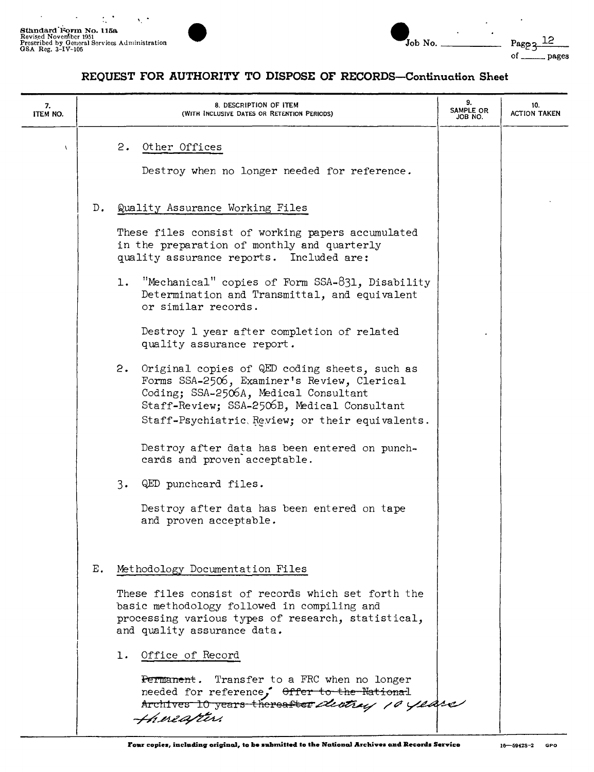$\ddot{\phantom{0}}$ 



| Job No. |  |
|---------|--|

| 7.<br><b>ITEM NO.</b> |               | 8. DESCRIPTION OF ITEM<br>(WITH INCLUSIVE DATES OR RETENTION PERIODS)                                                                                                                                                                         | 9.<br>SAMPLE OR<br>JOB NO. | 10.<br><b>ACTION TAKEN</b> |
|-----------------------|---------------|-----------------------------------------------------------------------------------------------------------------------------------------------------------------------------------------------------------------------------------------------|----------------------------|----------------------------|
| $\mathbf{V}$          |               | 2.<br>Other Offices<br>Destroy when no longer needed for reference.                                                                                                                                                                           |                            |                            |
|                       | $D_{\bullet}$ | Quality Assurance Working Files                                                                                                                                                                                                               |                            |                            |
|                       |               | These files consist of working papers accumulated<br>in the preparation of monthly and quarterly<br>quality assurance reports. Included are:                                                                                                  |                            |                            |
|                       |               | "Mechanical" copies of Form SSA-831, Disability<br>1.<br>Determination and Transmittal, and equivalent<br>or similar records.                                                                                                                 |                            |                            |
|                       |               | Destroy 1 year after completion of related<br>quality assurance report.                                                                                                                                                                       |                            |                            |
|                       |               | 2.<br>Original copies of QED coding sheets, such as<br>Forms SSA-2506, Examiner's Review, Clerical<br>Coding; SSA-2506A, Medical Consultant<br>Staff-Review; SSA-2506B, Medical Consultant<br>Staff-Psychiatric Review; or their equivalents. |                            |                            |
|                       |               | Destroy after data has been entered on punch-<br>cards and proven acceptable.                                                                                                                                                                 |                            |                            |
|                       |               | 3.<br>QED punchcard files.                                                                                                                                                                                                                    |                            |                            |
|                       |               | Destroy after data has been entered on tape<br>and proven acceptable.                                                                                                                                                                         |                            |                            |
|                       | Ε.            | Methodology Documentation Files                                                                                                                                                                                                               |                            |                            |
|                       |               | These files consist of records which set forth the<br>basic methodology followed in compiling and<br>processing various types of research, statistical,<br>and quality assurance data.                                                        |                            |                            |
|                       |               | Office of Record<br>ı.                                                                                                                                                                                                                        |                            |                            |
|                       |               | Transfer to a FRC when no longer<br>Permanent.<br>needed for reference, Offer to the National<br>Archives 10 years thereafter dential 10 years<br>Hineapter.                                                                                  |                            |                            |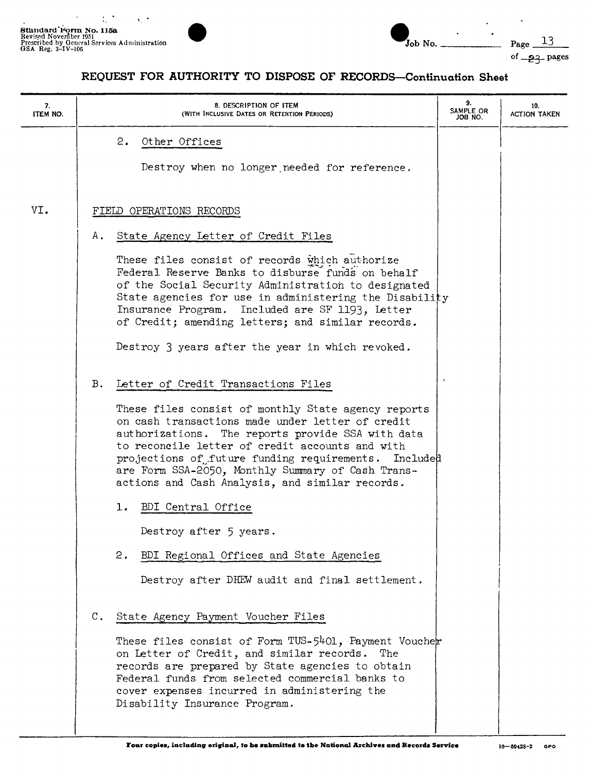

Page  $13$ 

of  $-23$ - pages

| 7.<br>ITEM NO. | 8. DESCRIPTION OF ITEM<br>(WITH INCLUSIVE DATES OR RETENTION PERIODS)                                                                                                                                                                                                                                                                                                                                                        | 9.<br>SAMPLE OR<br>JOB NO. | 10.<br><b>ACTION TAKEN</b> |
|----------------|------------------------------------------------------------------------------------------------------------------------------------------------------------------------------------------------------------------------------------------------------------------------------------------------------------------------------------------------------------------------------------------------------------------------------|----------------------------|----------------------------|
|                | 2.<br>Other Offices<br>Destroy when no longer needed for reference.                                                                                                                                                                                                                                                                                                                                                          |                            |                            |
| VI.            | FIELD OPERATIONS RECORDS                                                                                                                                                                                                                                                                                                                                                                                                     |                            |                            |
|                | State Agency Letter of Credit Files<br>А.                                                                                                                                                                                                                                                                                                                                                                                    |                            |                            |
|                | These files consist of records which authorize<br>Federal Reserve Banks to disburse funds on behalf<br>of the Social Security Administration to designated<br>State agencies for use in administering the Disability<br>Insurance Program. Included are SF 1193, Letter<br>of Credit; amending letters; and similar records.                                                                                                 |                            |                            |
|                | Destroy 3 years after the year in which revoked.                                                                                                                                                                                                                                                                                                                                                                             |                            |                            |
|                | Β.<br>Letter of Credit Transactions Files<br>These files consist of monthly State agency reports<br>on cash transactions made under letter of credit<br>authorizations. The reports provide SSA with data<br>to reconcile letter of credit accounts and with<br>projections of future funding requirements. Included<br>are Form SSA-2050, Monthly Summary of Cash Trans-<br>actions and Cash Analysis, and similar records. | $\boldsymbol{\lambda}$     |                            |
|                | BDI Central Office<br>ı.                                                                                                                                                                                                                                                                                                                                                                                                     |                            |                            |
|                | Destroy after 5 years.                                                                                                                                                                                                                                                                                                                                                                                                       |                            |                            |
|                | BDI Regional Offices and State Agencies<br>2.                                                                                                                                                                                                                                                                                                                                                                                |                            |                            |
|                | Destroy after DHEW audit and final settlement.                                                                                                                                                                                                                                                                                                                                                                               |                            |                            |
|                | $\mathbb{C}$ .<br>State Agency Payment Voucher Files<br>These files consist of Form TUS-5401, Payment Voucher<br>on Letter of Credit, and similar records. The<br>records are prepared by State agencies to obtain<br>Federal funds from selected commercial banks to                                                                                                                                                        |                            |                            |
|                | cover expenses incurred in administering the<br>Disability Insurance Program.                                                                                                                                                                                                                                                                                                                                                |                            |                            |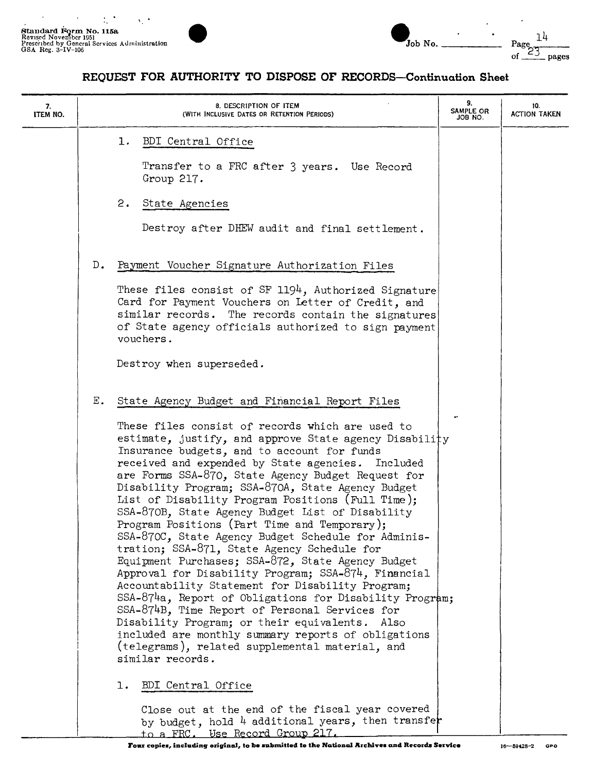$\bar{z}$ 



| $Job$ No. $\overline{\phantom{a}}$ |  |  |
|------------------------------------|--|--|

14 of  $\frac{23}{2}$  pages

| 7.<br>ITEM NO. | 8. DESCRIPTION OF ITEM<br>(WITH INCLUSIVE DATES OR RETENTION PERIODS)                                                                                                                                                                                                                                                                                                                                                                                                                                                                                                                                                                                                                                                                                                                                                                                                                                                                                                                                                                                                                                                    | 9.<br>SAMPLE OR<br>JOB NO. | 10.<br><b>ACTION TAKEN</b> |
|----------------|--------------------------------------------------------------------------------------------------------------------------------------------------------------------------------------------------------------------------------------------------------------------------------------------------------------------------------------------------------------------------------------------------------------------------------------------------------------------------------------------------------------------------------------------------------------------------------------------------------------------------------------------------------------------------------------------------------------------------------------------------------------------------------------------------------------------------------------------------------------------------------------------------------------------------------------------------------------------------------------------------------------------------------------------------------------------------------------------------------------------------|----------------------------|----------------------------|
|                | BDI Central Office<br>ı.<br>Transfer to a FRC after 3 years. Use Record<br>Group 217.<br>2.<br>State Agencies<br>Destroy after DHEW audit and final settlement.                                                                                                                                                                                                                                                                                                                                                                                                                                                                                                                                                                                                                                                                                                                                                                                                                                                                                                                                                          |                            |                            |
|                | $D_{\bullet}$<br>Payment Voucher Signature Authorization Files<br>These files consist of SF 1194, Authorized Signature<br>Card for Payment Vouchers on Letter of Credit, and<br>similar records.<br>The records contain the signatures<br>of State agency officials authorized to sign payment<br>vouchers.<br>Destroy when superseded.                                                                                                                                                                                                                                                                                                                                                                                                                                                                                                                                                                                                                                                                                                                                                                                  |                            |                            |
|                | $E_{\bullet}$<br>State Agency Budget and Financial Report Files<br>These files consist of records which are used to<br>estimate, justify, and approve State agency Disability<br>Insurance budgets, and to account for funds<br>received and expended by State agencies. Included<br>are Forms SSA-870, State Agency Budget Request for<br>Disability Program; SSA-870A, State Agency Budget<br>List of Disability Program Positions (Full Time);<br>SSA-870B, State Agency Budget List of Disability<br>Program Positions (Part Time and Temporary);<br>SSA-870C, State Agency Budget Schedule for Adminis-<br>tration; SSA-871, State Agency Schedule for<br>Equipment Purchases; SSA-872, State Agency Budget<br>Approval for Disability Program; SSA-874, Financial<br>Accountability Statement for Disability Program;<br>SSA-874a, Report of Obligations for Disability Program;<br>SSA-874B, Time Report of Personal Services for<br>Disability Program; or their equivalents. Also<br>included are monthly summary reports of obligations<br>(telegrams), related supplemental material, and<br>similar records. |                            |                            |
|                | BDI Central Office<br>ı.<br>Close out at the end of the fiscal year covered<br>by budget, hold 4 additional years, then transfer<br>to a FRC. Use Record Group 217.                                                                                                                                                                                                                                                                                                                                                                                                                                                                                                                                                                                                                                                                                                                                                                                                                                                                                                                                                      |                            |                            |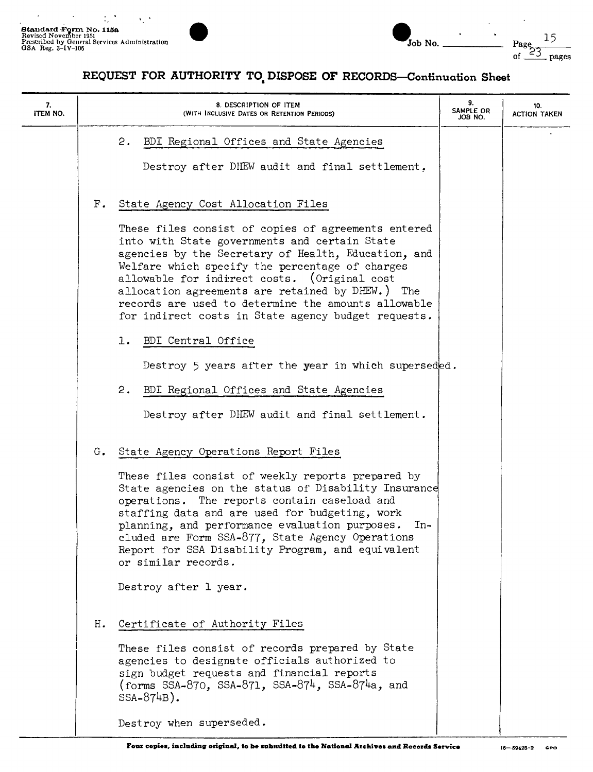$\ddot{\phantom{a}}$ 



| Job No. |  |
|---------|--|

| 7.<br>ITEM NO. | 8. DESCRIPTION OF ITEM<br>(WITH INCLUSIVE DATES OR RETENTION PERIODS)                                                                                                                                                                                                                                                                                                                                  | 9.<br>SAMPLE OR<br>JOB NO. | 10.<br><b>ACTION TAKEN</b> |
|----------------|--------------------------------------------------------------------------------------------------------------------------------------------------------------------------------------------------------------------------------------------------------------------------------------------------------------------------------------------------------------------------------------------------------|----------------------------|----------------------------|
|                | 2.<br>BDI Regional Offices and State Agencies<br>Destroy after DHEW audit and final settlement.                                                                                                                                                                                                                                                                                                        |                            |                            |
|                | State Agency Cost Allocation Files<br>$\mathbf{F}$ .<br>These files consist of copies of agreements entered<br>into with State governments and certain State                                                                                                                                                                                                                                           |                            |                            |
|                | agencies by the Secretary of Health, Education, and<br>Welfare which specify the percentage of charges<br>allowable for indirect costs. (Original cost<br>allocation agreements are retained by DHEW.) The<br>records are used to determine the amounts allowable<br>for indirect costs in State agency budget requests.                                                                               |                            |                            |
|                | BDI Central Office<br>ı.<br>Destroy 5 years after the year in which superseded.                                                                                                                                                                                                                                                                                                                        |                            |                            |
|                | 2.<br>BDI Regional Offices and State Agencies<br>Destroy after DHEW audit and final settlement.                                                                                                                                                                                                                                                                                                        |                            |                            |
|                | G. State Agency Operations Report Files                                                                                                                                                                                                                                                                                                                                                                |                            |                            |
|                | These files consist of weekly reports prepared by<br>State agencies on the status of Disability Insurance<br>operations. The reports contain caseload and<br>staffing data and are used for budgeting, work<br>planning, and performance evaluation purposes.<br>$In-$<br>cluded are Form SSA-877, State Agency Operations<br>Report for SSA Disability Program, and equivalent<br>or similar records. |                            |                            |
|                | Destroy after 1 year.                                                                                                                                                                                                                                                                                                                                                                                  |                            |                            |
|                | Certificate of Authority Files<br>Н.<br>These files consist of records prepared by State<br>agencies to designate officials authorized to<br>sign budget requests and financial reports<br>(forms SSA-870, SSA-871, SSA-874, SSA-874a, and<br>$SSA-874B$ ).                                                                                                                                            |                            |                            |
|                | Destroy when superseded.                                                                                                                                                                                                                                                                                                                                                                               |                            |                            |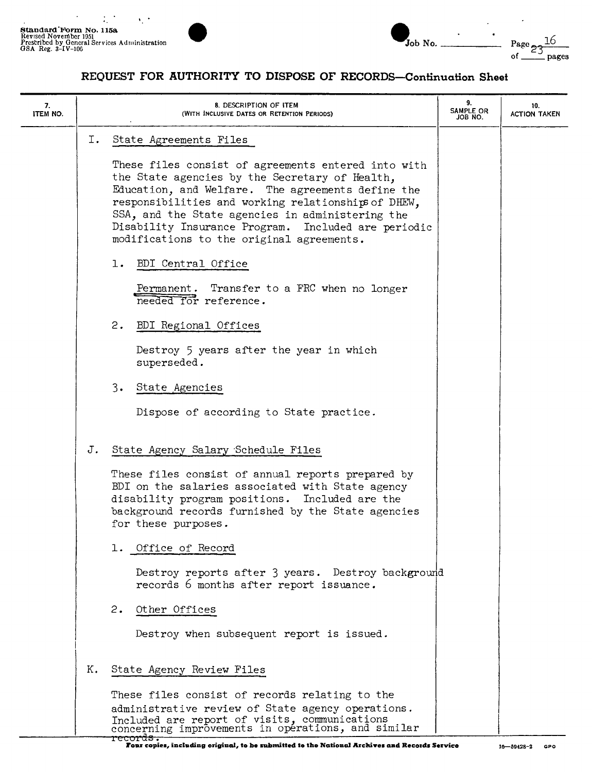

 $\ddot{\phantom{a}}$ 

 $\bullet$ 

| 7.<br>ITEM NO. |    | 8. DESCRIPTION OF ITEM<br>(WITH INCLUSIVE DATES OR RETENTION PERIODS)                                                                                                                                                                                                                                                                                                     | 9.<br>SAMPLE OR<br>JOB NO. | 10.<br>ACTION TAKEN |
|----------------|----|---------------------------------------------------------------------------------------------------------------------------------------------------------------------------------------------------------------------------------------------------------------------------------------------------------------------------------------------------------------------------|----------------------------|---------------------|
|                | Ι. | State Agreements Files                                                                                                                                                                                                                                                                                                                                                    |                            |                     |
|                |    | These files consist of agreements entered into with<br>the State agencies by the Secretary of Health,<br>Education, and Welfare. The agreements define the<br>responsibilities and working relationships of DHEW,<br>SSA, and the State agencies in administering the<br>Disability Insurance Program. Included are periodic<br>modifications to the original agreements. |                            |                     |
|                |    | 1. BDI Central Office                                                                                                                                                                                                                                                                                                                                                     |                            |                     |
|                |    | Permanent. Transfer to a FRC when no longer<br>needed for reference.                                                                                                                                                                                                                                                                                                      |                            |                     |
|                |    | 2.<br>BDI Regional Offices                                                                                                                                                                                                                                                                                                                                                |                            |                     |
|                |    | Destroy 5 years after the year in which<br>superseded.                                                                                                                                                                                                                                                                                                                    |                            |                     |
|                |    | 3.<br>State Agencies                                                                                                                                                                                                                                                                                                                                                      |                            |                     |
|                |    | Dispose of according to State practice.                                                                                                                                                                                                                                                                                                                                   |                            |                     |
|                | J. | State Agency Salary Schedule Files                                                                                                                                                                                                                                                                                                                                        |                            |                     |
|                |    | These files consist of annual reports prepared by<br>BDI on the salaries associated with State agency<br>disability program positions. Included are the<br>background records furnished by the State agencies<br>for these purposes.                                                                                                                                      |                            |                     |
|                |    | 1. Office of Record                                                                                                                                                                                                                                                                                                                                                       |                            |                     |
|                |    | Destroy reports after 3 years. Destroy background<br>records 6 months after report issuance.                                                                                                                                                                                                                                                                              |                            |                     |
|                |    | 2.<br>Other Offices                                                                                                                                                                                                                                                                                                                                                       |                            |                     |
|                |    | Destroy when subsequent report is issued.                                                                                                                                                                                                                                                                                                                                 |                            |                     |
|                | К. | State Agency Review Files                                                                                                                                                                                                                                                                                                                                                 |                            |                     |
|                |    | These files consist of records relating to the                                                                                                                                                                                                                                                                                                                            |                            |                     |
|                |    | administrative review of State agency operations.<br>Included are report of visits, communications<br>concerning improvements in opérations, and similar                                                                                                                                                                                                                  |                            |                     |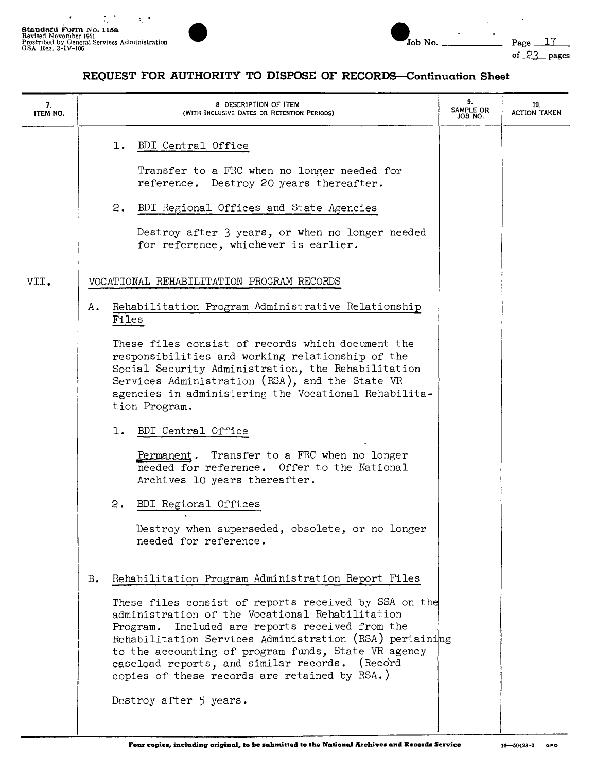$\bullet$ 



 $\overline{a}$ 

| 7.<br><b>ITEM NO.</b> |                                           | 8 DESCRIPTION OF ITEM<br>(WITH INCLUSIVE DATES OR RETENTION PERIODS)                                                                                                                                                                                                                                                                                                             | 9.<br>SAMPLE OR<br>JOB NO. | 10.<br><b>ACTION TAKEN</b> |
|-----------------------|-------------------------------------------|----------------------------------------------------------------------------------------------------------------------------------------------------------------------------------------------------------------------------------------------------------------------------------------------------------------------------------------------------------------------------------|----------------------------|----------------------------|
|                       | 1. BDI Central Office<br>2.               | Transfer to a FRC when no longer needed for<br>reference. Destroy 20 years thereafter.<br>BDI Regional Offices and State Agencies                                                                                                                                                                                                                                                |                            |                            |
|                       |                                           | Destroy after 3 years, or when no longer needed<br>for reference, whichever is earlier.                                                                                                                                                                                                                                                                                          |                            |                            |
| VII.                  | VOCATIONAL REHABILITATION PROGRAM RECORDS |                                                                                                                                                                                                                                                                                                                                                                                  |                            |                            |
|                       | Α.<br>Files                               | Rehabilitation Program Administrative Relationship                                                                                                                                                                                                                                                                                                                               |                            |                            |
|                       | tion Program.                             | These files consist of records which document the<br>responsibilities and working relationship of the<br>Social Security Administration, the Rehabilitation<br>Services Administration (RSA), and the State VR<br>agencies in administering the Vocational Rehabilita-                                                                                                           |                            |                            |
|                       | 1. BDI Central Office                     |                                                                                                                                                                                                                                                                                                                                                                                  |                            |                            |
|                       |                                           | Permanent. Transfer to a FRC when no longer<br>needed for reference. Offer to the National<br>Archives 10 years thereafter.                                                                                                                                                                                                                                                      |                            |                            |
|                       | 2.<br>BDI Regional Offices                |                                                                                                                                                                                                                                                                                                                                                                                  |                            |                            |
|                       | needed for reference.                     | Destroy when superseded, obsolete, or no longer                                                                                                                                                                                                                                                                                                                                  |                            |                            |
|                       | $B_{\bullet}$                             | Rehabilitation Program Administration Report Files                                                                                                                                                                                                                                                                                                                               |                            |                            |
|                       | Destroy after 5 years.                    | These files consist of reports received by SSA on the<br>administration of the Vocational Rehabilitation<br>Program. Included are reports received from the<br>Rehabilitation Services Administration (RSA) pertaining<br>to the accounting of program funds, State VR agency<br>caseload reports, and similar records. (Record<br>copies of these records are retained by RSA.) |                            |                            |
|                       |                                           |                                                                                                                                                                                                                                                                                                                                                                                  |                            |                            |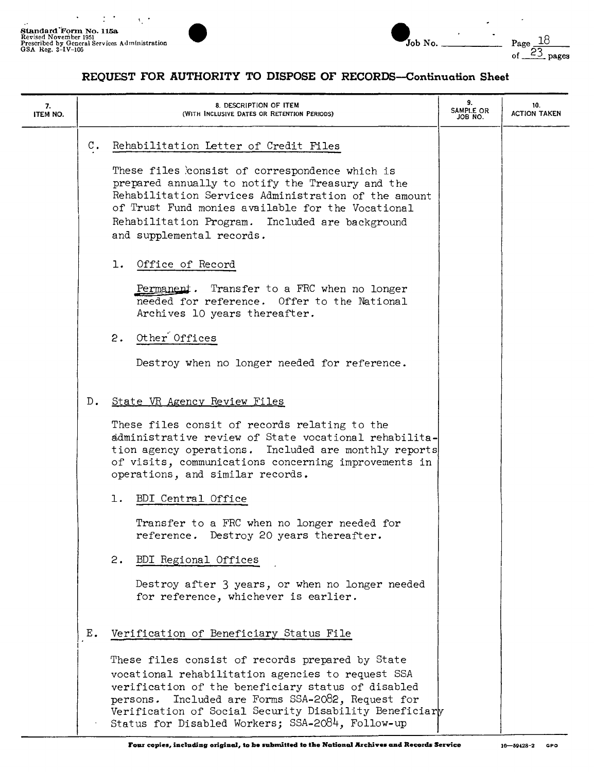

| Job No. |  |
|---------|--|

| 7.<br><b>ITEM NO.</b> |                  | 8. DESCRIPTION OF ITEM<br>(WITH INCLUSIVE DATES OR RETENTION PERIODS)                                                                                                                                                                                                                                                                                                                                                                                                                          | 9.<br>SAMPLE OR<br>JOB NO. | 10.<br><b>ACTION TAKEN</b> |
|-----------------------|------------------|------------------------------------------------------------------------------------------------------------------------------------------------------------------------------------------------------------------------------------------------------------------------------------------------------------------------------------------------------------------------------------------------------------------------------------------------------------------------------------------------|----------------------------|----------------------------|
|                       | $\mathfrak{c}$ . | Rehabilitation Letter of Credit Files<br>These files consist of correspondence which is<br>prepared annually to notify the Treasury and the<br>Rehabilitation Services Administration of the amount<br>of Trust Fund monies available for the Vocational<br>Rehabilitation Program. Included are background<br>and supplemental records.<br>1. Office of Record<br>Permanent. Transfer to a FRC when no longer<br>needed for reference. Offer to the National<br>Archives 10 years thereafter. |                            |                            |
|                       |                  | 2. Other Offices<br>Destroy when no longer needed for reference.                                                                                                                                                                                                                                                                                                                                                                                                                               |                            |                            |
|                       | $D_{\bullet}$    | State VR Agency Review Files<br>These files consit of records relating to the<br>administrative review of State vocational rehabilita-<br>tion agency operations. Included are monthly reports<br>of visits, communications concerning improvements in<br>operations, and similar records.                                                                                                                                                                                                     |                            |                            |
|                       |                  | 1.<br>BDI Central Office<br>Transfer to a FRC when no longer needed for<br>reference. Destroy 20 years thereafter.<br>2.<br>BDI Regional Offices<br>Destroy after 3 years, or when no longer needed<br>for reference, whichever is earlier.                                                                                                                                                                                                                                                    |                            |                            |
|                       | Ε.               | Verification of Beneficiary Status File<br>These files consist of records prepared by State<br>vocational rehabilitation agencies to request SSA<br>verification of the beneficiary status of disabled<br>Included are Forms SSA-2082, Request for<br>persons.<br>Verification of Social Security Disability Beneficiary<br>Status for Disabled Workers; SSA-2084, Follow-up                                                                                                                   |                            |                            |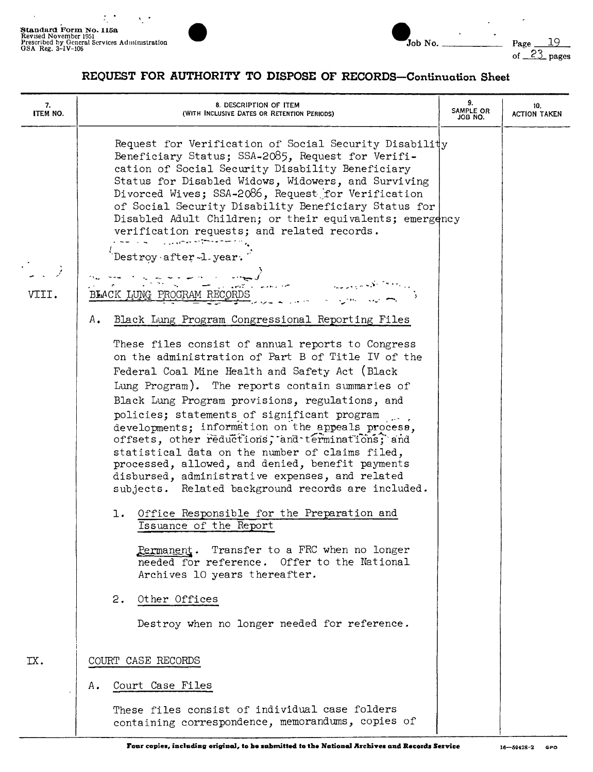$\frac{1}{2}$ 

 $\overline{a}$ 



 $\overline{a}$ 

| 7.<br><b>ITEM NO.</b> | 8. DESCRIPTION OF ITEM<br>(WITH INCLUSIVE DATES OR RETENTION PERIODS)                                                                                                                                                                                                                                                                                                                                                                                                                                                                                                                                                                                                                    | 9.<br>SAMPLE OR<br>JOB NO. | 10.<br>ACTION TAKEN |
|-----------------------|------------------------------------------------------------------------------------------------------------------------------------------------------------------------------------------------------------------------------------------------------------------------------------------------------------------------------------------------------------------------------------------------------------------------------------------------------------------------------------------------------------------------------------------------------------------------------------------------------------------------------------------------------------------------------------------|----------------------------|---------------------|
| VIII.                 | Request for Verification of Social Security Disability<br>Beneficiary Status; SSA-2085, Request for Verifi-<br>cation of Social Security Disability Beneficiary<br>Status for Disabled Widows, Widowers, and Surviving<br>Divorced Wives; SSA-2086, Request for Verification<br>of Social Security Disability Beneficiary Status for<br>Disabled Adult Children; or their equivalents; emergency<br>verification requests; and related records.<br>والمسترجم وتواطن والمراري المستنبر<br>Destroy after -1 year.<br>BLACK LUNG PROGRAM RECORDS                                                                                                                                            |                            |                     |
|                       | Black Lung Program Congressional Reporting Files<br>Α.                                                                                                                                                                                                                                                                                                                                                                                                                                                                                                                                                                                                                                   |                            |                     |
|                       | These files consist of annual reports to Congress<br>on the administration of Part B of Title IV of the<br>Federal Coal Mine Health and Safety Act (Black<br>Lung Program). The reports contain summaries of<br>Black Lung Program provisions, regulations, and<br>policies; statements of significant program<br>developments; information on the appeals process,<br>offsets, other reductions, and terminations, and<br>statistical data on the number of claims filed,<br>processed, allowed, and denied, benefit payments<br>disbursed, administrative expenses, and related<br>subjects. Related background records are included.<br>1. Office Responsible for the Preparation and |                            |                     |
|                       | Issuance of the Report<br>Permanent. Transfer to a FRC when no longer<br>needed for reference. Offer to the National<br>Archives 10 years thereafter.                                                                                                                                                                                                                                                                                                                                                                                                                                                                                                                                    |                            |                     |
|                       | Other Offices<br>2.<br>Destroy when no longer needed for reference.                                                                                                                                                                                                                                                                                                                                                                                                                                                                                                                                                                                                                      |                            |                     |
| IX.                   | COURT CASE RECORDS                                                                                                                                                                                                                                                                                                                                                                                                                                                                                                                                                                                                                                                                       |                            |                     |
|                       | Court Case Files<br>А.                                                                                                                                                                                                                                                                                                                                                                                                                                                                                                                                                                                                                                                                   |                            |                     |
|                       | These files consist of individual case folders<br>containing correspondence, memorandums, copies of                                                                                                                                                                                                                                                                                                                                                                                                                                                                                                                                                                                      |                            |                     |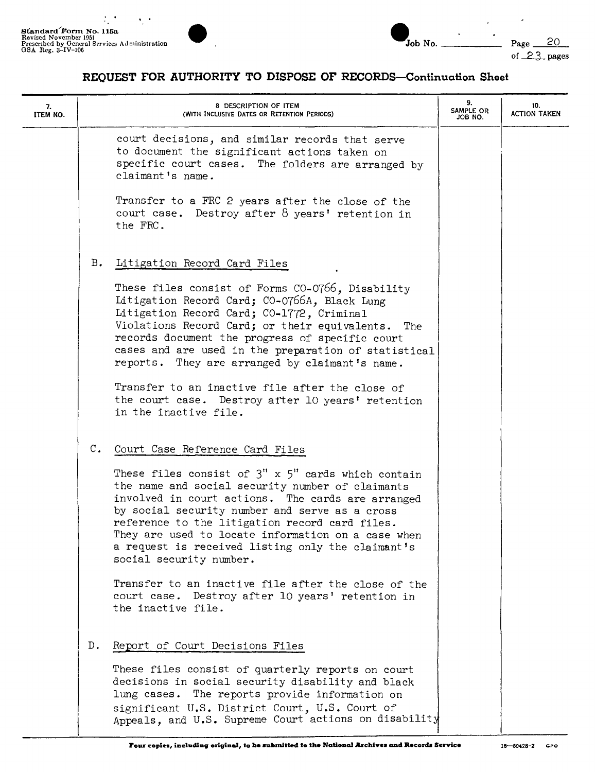



-----

J.

| 7.<br>ITEM NO. | 8 DESCRIPTION OF ITEM<br>(WITH INCLUSIVE DATES OR RETENTION PERIODS)                                                                                                                                                                                                                                                                                                                                                                                                                                                                                                                              | 9.<br>SAMPLE OR<br>JOB NO. | 10.<br>ACTION TAKEN |
|----------------|---------------------------------------------------------------------------------------------------------------------------------------------------------------------------------------------------------------------------------------------------------------------------------------------------------------------------------------------------------------------------------------------------------------------------------------------------------------------------------------------------------------------------------------------------------------------------------------------------|----------------------------|---------------------|
|                | court decisions, and similar records that serve<br>to document the significant actions taken on<br>specific court cases. The folders are arranged by<br>claimant's name.<br>Transfer to a FRC 2 years after the close of the<br>court case. Destroy after 8 years' retention in                                                                                                                                                                                                                                                                                                                   |                            |                     |
|                | the FRC.<br>в.<br>Litigation Record Card Files                                                                                                                                                                                                                                                                                                                                                                                                                                                                                                                                                    |                            |                     |
|                | These files consist of Forms CO-0766, Disability<br>Litigation Record Card; CO-0766A, Black Lung<br>Litigation Record Card; CO-1772, Criminal<br>Violations Record Card; or their equivalents. The<br>records document the progress of specific court<br>cases and are used in the preparation of statistical<br>reports. They are arranged by claimant's name.<br>Transfer to an inactive file after the close of<br>the court case. Destroy after 10 years' retention<br>in the inactive file.                                                                                                  |                            |                     |
|                | $\mathbb{C}$ .<br>Court Case Reference Card Files<br>These files consist of $3''$ x $5''$ cards which contain<br>the name and social security number of claimants<br>involved in court actions. The cards are arranged<br>by social security number and serve as a cross<br>reference to the litigation record card files.<br>They are used to locate information on a case when<br>a request is received listing only the claimant's<br>social security number.<br>Transfer to an inactive file after the close of the<br>court case. Destroy after 10 years' retention in<br>the inactive file. |                            |                     |
|                | Report of Court Decisions Files<br>$D_{\bullet}$<br>These files consist of quarterly reports on court<br>decisions in social security disability and black<br>lung cases. The reports provide information on<br>significant U.S. District Court, U.S. Court of<br>Appeals, and U.S. Supreme Court actions on disability                                                                                                                                                                                                                                                                           |                            |                     |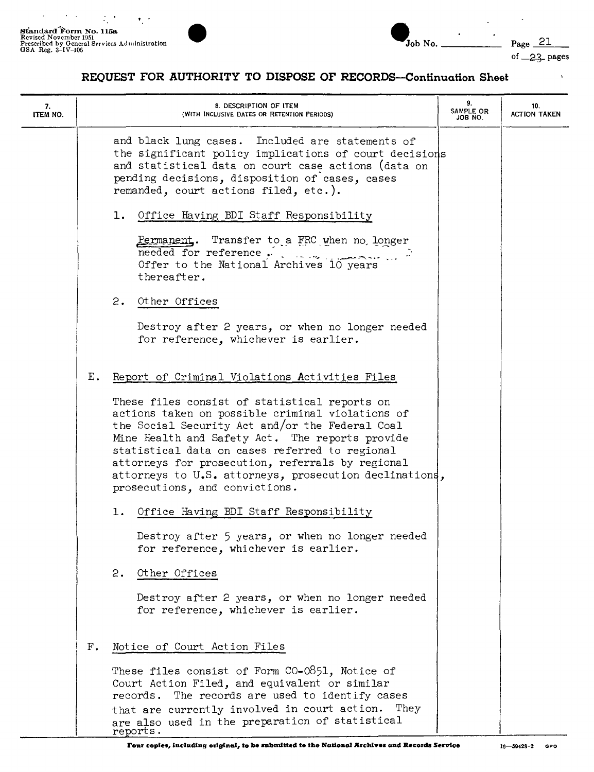$\hat{\mathcal{E}}$ 

 $\epsilon = 1$ 





 $\overline{a}$ 

of  $\angle$ 23 pages

 $\mathbf{A}$ 

| 7.<br>ITEM NO. |               | 8. DESCRIPTION OF ITEM<br>(WITH INCLUSIVE DATES OR RETENTION PERIODS)                                                                                                                                                                                                                                                                                                                                     | 9.<br>SAMPLE OR<br>JOB NO. | 10.<br><b>ACTION TAKEN</b> |
|----------------|---------------|-----------------------------------------------------------------------------------------------------------------------------------------------------------------------------------------------------------------------------------------------------------------------------------------------------------------------------------------------------------------------------------------------------------|----------------------------|----------------------------|
|                |               | and black lung cases. Included are statements of<br>the significant policy implications of court decisions<br>and statistical data on court case actions (data on<br>pending decisions, disposition of cases, cases<br>remanded, court actions filed, etc.).                                                                                                                                              |                            |                            |
|                |               | 1. Office Having BDI Staff Responsibility                                                                                                                                                                                                                                                                                                                                                                 |                            |                            |
|                |               | Permanent. Transfer to a FRC when no longer<br>needed for reference, $\frac{1}{2}$ , $\frac{1}{2}$ , $\frac{1}{2}$ , $\frac{1}{2}$<br>Offer to the National Archives 10 years<br>thereafter.                                                                                                                                                                                                              |                            |                            |
|                |               | 2. Other Offices                                                                                                                                                                                                                                                                                                                                                                                          |                            |                            |
|                |               | Destroy after 2 years, or when no longer needed<br>for reference, whichever is earlier.                                                                                                                                                                                                                                                                                                                   |                            |                            |
|                | $E_{\bullet}$ | Report of Criminal Violations Activities Files                                                                                                                                                                                                                                                                                                                                                            |                            |                            |
|                |               | These files consist of statistical reports on<br>actions taken on possible criminal violations of<br>the Social Security Act and/or the Federal Coal<br>Mine Health and Safety Act. The reports provide<br>statistical data on cases referred to regional<br>attorneys for prosecution, referrals by regional<br>attorneys to U.S. attorneys, prosecution declinations,<br>prosecutions, and convictions. |                            |                            |
|                |               | Office Having BDI Staff Responsibility<br>ı.                                                                                                                                                                                                                                                                                                                                                              |                            |                            |
|                |               | Destroy after 5 years, or when no longer needed<br>for reference, whichever is earlier.                                                                                                                                                                                                                                                                                                                   |                            |                            |
|                |               | Other Offices<br>2.                                                                                                                                                                                                                                                                                                                                                                                       |                            |                            |
|                |               | Destroy after 2 years, or when no longer needed<br>for reference, whichever is earlier.                                                                                                                                                                                                                                                                                                                   |                            |                            |
|                | F.            | Notice of Court Action Files                                                                                                                                                                                                                                                                                                                                                                              |                            |                            |
|                |               | These files consist of Form CO-0851, Notice of<br>Court Action Filed, and equivalent or similar<br>records. The records are used to identify cases                                                                                                                                                                                                                                                        |                            |                            |
|                |               | that are currently involved in court action. They<br>are also used in the preparation of statistical<br>reports.                                                                                                                                                                                                                                                                                          |                            |                            |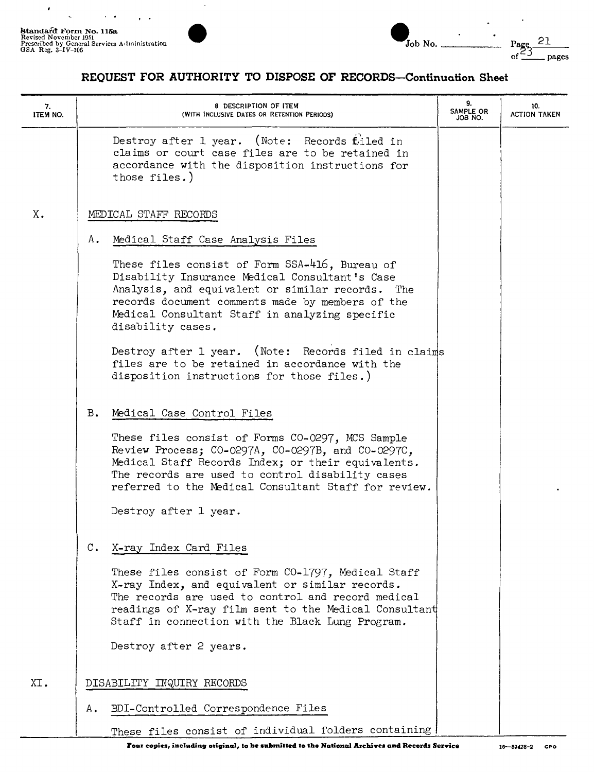$\sim$   $\sim$ 

 $\ddot{\phantom{1}}$ 

 $\pmb{\cdot}$ 

 $\ddot{\phantom{1}}$ 



| Job No. |  |
|---------|--|

| 7.<br>ITEM NO. | 8 DESCRIPTION OF ITEM<br>(WITH INCLUSIVE DATES OR RETENTION PERIODS)                                                                                                                                                                                                            | 9.<br>SAMPLE OR<br>JOB NO. | 10.<br><b>ACTION TAKEN</b> |
|----------------|---------------------------------------------------------------------------------------------------------------------------------------------------------------------------------------------------------------------------------------------------------------------------------|----------------------------|----------------------------|
|                | Destroy after 1 year. (Note: Records filed in<br>claims or court case files are to be retained in<br>accordance with the disposition instructions for<br>those files.)                                                                                                          |                            |                            |
| X.             | MEDICAL STAFF RECORDS                                                                                                                                                                                                                                                           |                            |                            |
|                | Α.<br>Medical Staff Case Analysis Files                                                                                                                                                                                                                                         |                            |                            |
|                | These files consist of Form SSA-416, Bureau of<br>Disability Insurance Medical Consultant's Case<br>Analysis, and equivalent or similar records. The<br>records document comments made by members of the<br>Medical Consultant Staff in analyzing specific<br>disability cases. |                            |                            |
|                | Destroy after 1 year. (Note: Records filed in claims<br>files are to be retained in accordance with the<br>disposition instructions for those files.)                                                                                                                           |                            |                            |
|                | $B_{\bullet}$<br>Medical Case Control Files                                                                                                                                                                                                                                     |                            |                            |
|                | These files consist of Forms CO-0297, MCS Sample<br>Review Process; CO-0297A, CO-0297B, and CO-0297C,<br>Medical Staff Records Index; or their equivalents.<br>The records are used to control disability cases<br>referred to the Medical Consultant Staff for review.         |                            |                            |
|                | Destroy after 1 year.                                                                                                                                                                                                                                                           |                            |                            |
|                | X-ray Index Card Files                                                                                                                                                                                                                                                          |                            |                            |
|                | These files consist of Form CO-1797, Medical Staff<br>X-ray Index, and equivalent or similar records.<br>The records are used to control and record medical<br>readings of X-ray film sent to the Medical Consultant<br>Staff in connection with the Black Lung Program.        |                            |                            |
|                | Destroy after 2 years.                                                                                                                                                                                                                                                          |                            |                            |
| XI.            | DISABILITY INQUIRY RECORDS                                                                                                                                                                                                                                                      |                            |                            |
|                | BDI-Controlled Correspondence Files<br>Α.                                                                                                                                                                                                                                       |                            |                            |
|                | These files consist of individual folders containing                                                                                                                                                                                                                            |                            |                            |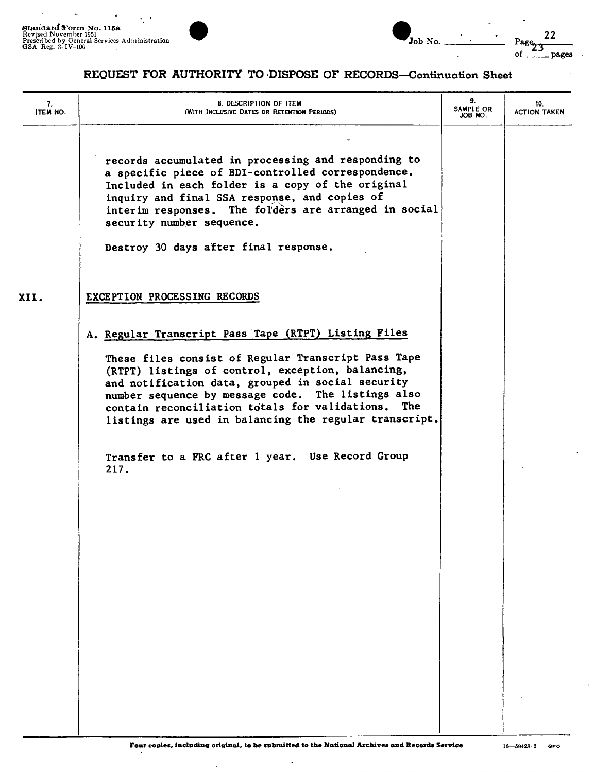$\bullet$ 

 $\epsilon$ 

 $\ddot{\phantom{0}}$ 





Page<sub>23</sub>  $22$  $of_$ \_ pages

 $\cdot$ 

## REQUEST FOR AUTHORITY TO DISPOSE OF RECORDS-Continuation Sheet

| 7.<br><b>ITEM NO.</b> | 8. DESCRIPTION OF ITEM<br>(WITH INCLUSIVE DATES OR RETENTION PERIODS)                                                                                                                                                                                                                                                                  | 9.<br>SAMPLE OR<br>JOB NO. | 10.<br><b>ACTION TAKEN</b> |
|-----------------------|----------------------------------------------------------------------------------------------------------------------------------------------------------------------------------------------------------------------------------------------------------------------------------------------------------------------------------------|----------------------------|----------------------------|
|                       | records accumulated in processing and responding to<br>a specific piece of BDI-controlled correspondence.<br>Included in each folder is a copy of the original<br>inquiry and final SSA response, and copies of<br>interim responses. The folders are arranged in social<br>security number sequence.                                  |                            |                            |
|                       | Destroy 30 days after final response.                                                                                                                                                                                                                                                                                                  |                            |                            |
| XII.                  | EXCEPTION PROCESSING RECORDS                                                                                                                                                                                                                                                                                                           |                            |                            |
|                       | A. Regular Transcript Pass Tape (RTPT) Listing Files                                                                                                                                                                                                                                                                                   |                            |                            |
|                       | These files consist of Regular Transcript Pass Tape<br>(RTPT) listings of control, exception, balancing,<br>and notification data, grouped in social security<br>number sequence by message code. The listings also<br>contain reconciliation totals for validations.<br>The<br>listings are used in balancing the regular transcript. |                            |                            |
|                       | Transfer to a FRC after 1 year. Use Record Group<br>217.                                                                                                                                                                                                                                                                               |                            |                            |
|                       |                                                                                                                                                                                                                                                                                                                                        |                            |                            |
|                       |                                                                                                                                                                                                                                                                                                                                        |                            |                            |
|                       |                                                                                                                                                                                                                                                                                                                                        |                            |                            |
|                       |                                                                                                                                                                                                                                                                                                                                        |                            |                            |
|                       |                                                                                                                                                                                                                                                                                                                                        |                            |                            |
|                       |                                                                                                                                                                                                                                                                                                                                        |                            |                            |
|                       |                                                                                                                                                                                                                                                                                                                                        |                            |                            |
|                       |                                                                                                                                                                                                                                                                                                                                        |                            |                            |
|                       |                                                                                                                                                                                                                                                                                                                                        |                            |                            |

 $\lambda$